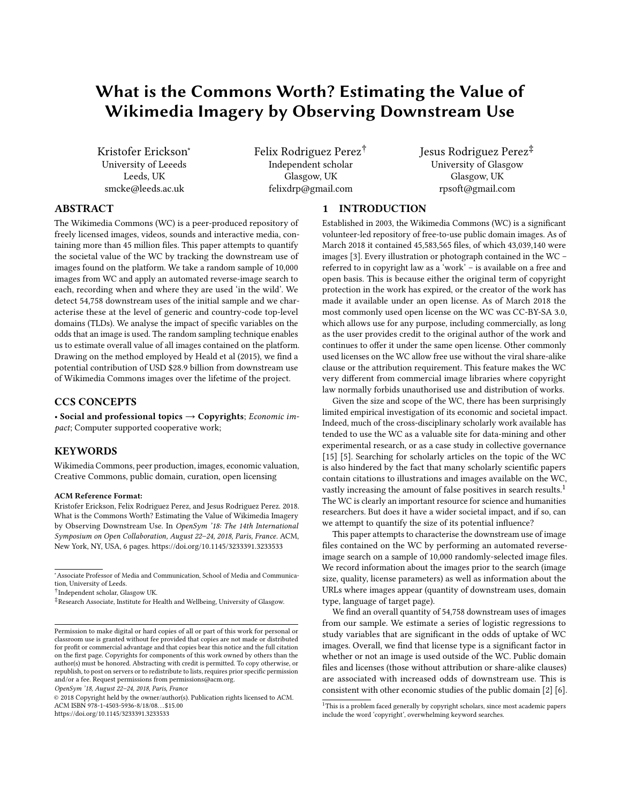# What is the Commons Worth? Estimating the Value of Wikimedia Imagery by Observing Downstream Use

Kristofer Erickson<sup>∗</sup> University of Leeeds Leeds, UK smcke@leeds.ac.uk

Felix Rodriguez Perez† Independent scholar Glasgow, UK felixdrp@gmail.com

Jesus Rodriguez Perez‡ University of Glasgow Glasgow, UK rpsoft@gmail.com

## ABSTRACT

The Wikimedia Commons (WC) is a peer-produced repository of freely licensed images, videos, sounds and interactive media, containing more than 45 million files. This paper attempts to quantify the societal value of the WC by tracking the downstream use of images found on the platform. We take a random sample of 10,000 images from WC and apply an automated reverse-image search to each, recording when and where they are used 'in the wild'. We detect 54,758 downstream uses of the initial sample and we characterise these at the level of generic and country-code top-level domains (TLDs). We analyse the impact of specific variables on the odds that an image is used. The random sampling technique enables us to estimate overall value of all images contained on the platform. Drawing on the method employed by Heald et al (2015), we find a potential contribution of USD \$28.9 billion from downstream use of Wikimedia Commons images over the lifetime of the project.

## CCS CONCEPTS

• Social and professional topics  $\rightarrow$  Copyrights; Economic impact; Computer supported cooperative work;

## **KEYWORDS**

Wikimedia Commons, peer production, images, economic valuation, Creative Commons, public domain, curation, open licensing

#### ACM Reference Format:

Kristofer Erickson, Felix Rodriguez Perez, and Jesus Rodriguez Perez. 2018. What is the Commons Worth? Estimating the Value of Wikimedia Imagery by Observing Downstream Use. In OpenSym '18: The 14th International Symposium on Open Collaboration, August 22–24, 2018, Paris, France. ACM, New York, NY, USA, [6](#page-5-0) pages.<https://doi.org/10.1145/3233391.3233533>

<sup>∗</sup>Associate Professor of Media and Communication, School of Media and Communication, University of Leeds.

† Independent scholar, Glasgow UK.

‡Research Associate, Institute for Health and Wellbeing, University of Glasgow.

Permission to make digital or hard copies of all or part of this work for personal or classroom use is granted without fee provided that copies are not made or distributed for profit or commercial advantage and that copies bear this notice and the full citation on the first page. Copyrights for components of this work owned by others than the author(s) must be honored. Abstracting with credit is permitted. To copy otherwise, or republish, to post on servers or to redistribute to lists, requires prior specific permission and/or a fee. Request permissions from permissions@acm.org.

OpenSym '18, August 22–24, 2018, Paris, France

© 2018 Copyright held by the owner/author(s). Publication rights licensed to ACM. ACM ISBN 978-1-4503-5936-8/18/08. . . \$15.00 <https://doi.org/10.1145/3233391.3233533>

#### 1 INTRODUCTION

Established in 2003, the Wikimedia Commons (WC) is a significant volunteer-led repository of free-to-use public domain images. As of March 2018 it contained 45,583,565 files, of which 43,039,140 were images [\[3\]](#page-5-1). Every illustration or photograph contained in the WC – referred to in copyright law as a 'work' – is available on a free and open basis. This is because either the original term of copyright protection in the work has expired, or the creator of the work has made it available under an open license. As of March 2018 the most commonly used open license on the WC was CC-BY-SA 3.0, which allows use for any purpose, including commercially, as long as the user provides credit to the original author of the work and continues to offer it under the same open license. Other commonly used licenses on the WC allow free use without the viral share-alike clause or the attribution requirement. This feature makes the WC very different from commercial image libraries where copyright law normally forbids unauthorised use and distribution of works.

Given the size and scope of the WC, there has been surprisingly limited empirical investigation of its economic and societal impact. Indeed, much of the cross-disciplinary scholarly work available has tended to use the WC as a valuable site for data-mining and other experimental research, or as a case study in collective governance [\[15\]](#page-5-2) [\[5\]](#page-5-3). Searching for scholarly articles on the topic of the WC is also hindered by the fact that many scholarly scientific papers contain citations to illustrations and images available on the WC, vastly increasing the amount of false positives in search results.<sup>[1](#page-0-0)</sup> The WC is clearly an important resource for science and humanities researchers. But does it have a wider societal impact, and if so, can we attempt to quantify the size of its potential influence?

This paper attempts to characterise the downstream use of image files contained on the WC by performing an automated reverseimage search on a sample of 10,000 randomly-selected image files. We record information about the images prior to the search (image size, quality, license parameters) as well as information about the URLs where images appear (quantity of downstream uses, domain type, language of target page).

We find an overall quantity of 54,758 downstream uses of images from our sample. We estimate a series of logistic regressions to study variables that are significant in the odds of uptake of WC images. Overall, we find that license type is a significant factor in whether or not an image is used outside of the WC. Public domain files and licenses (those without attribution or share-alike clauses) are associated with increased odds of downstream use. This is consistent with other economic studies of the public domain [\[2\]](#page-5-4) [\[6\]](#page-5-5).

<span id="page-0-0"></span> $^1 \rm{This}$  is a problem faced generally by copyright scholars, since most academic papers include the word 'copyright', overwhelming keyword searches.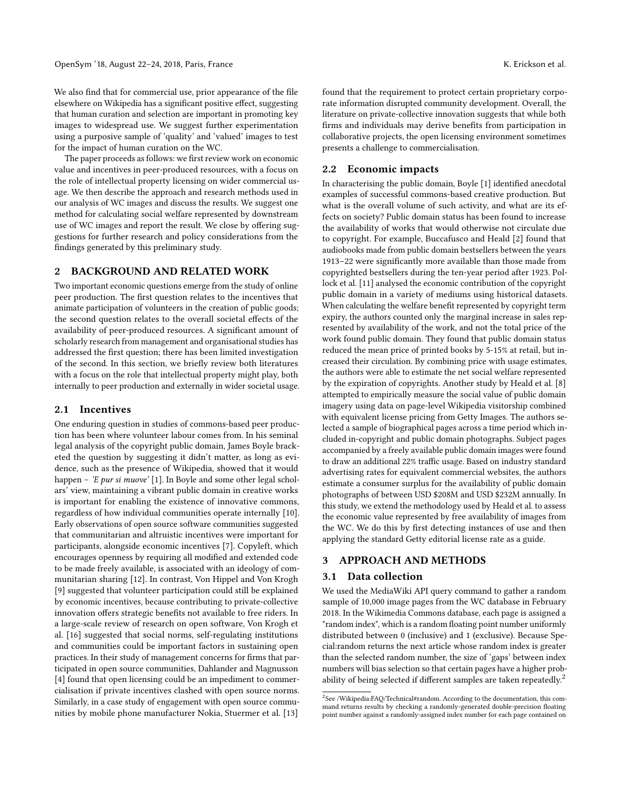We also find that for commercial use, prior appearance of the file elsewhere on Wikipedia has a significant positive effect, suggesting that human curation and selection are important in promoting key images to widespread use. We suggest further experimentation using a purposive sample of 'quality' and 'valued' images to test for the impact of human curation on the WC.

The paper proceeds as follows: we first review work on economic value and incentives in peer-produced resources, with a focus on the role of intellectual property licensing on wider commercial usage. We then describe the approach and research methods used in our analysis of WC images and discuss the results. We suggest one method for calculating social welfare represented by downstream use of WC images and report the result. We close by offering suggestions for further research and policy considerations from the findings generated by this preliminary study.

#### 2 BACKGROUND AND RELATED WORK

Two important economic questions emerge from the study of online peer production. The first question relates to the incentives that animate participation of volunteers in the creation of public goods; the second question relates to the overall societal effects of the availability of peer-produced resources. A significant amount of scholarly research from management and organisational studies has addressed the first question; there has been limited investigation of the second. In this section, we briefly review both literatures with a focus on the role that intellectual property might play, both internally to peer production and externally in wider societal usage.

#### 2.1 Incentives

One enduring question in studies of commons-based peer production has been where volunteer labour comes from. In his seminal legal analysis of the copyright public domain, James Boyle bracketed the question by suggesting it didn't matter, as long as evidence, such as the presence of Wikipedia, showed that it would happen – 'E pur si muove' [\[1\]](#page-5-6). In Boyle and some other legal scholars' view, maintaining a vibrant public domain in creative works is important for enabling the existence of innovative commons, regardless of how individual communities operate internally [\[10\]](#page-5-7). Early observations of open source software communities suggested that communitarian and altruistic incentives were important for participants, alongside economic incentives [\[7\]](#page-5-8). Copyleft, which encourages openness by requiring all modified and extended code to be made freely available, is associated with an ideology of communitarian sharing [\[12\]](#page-5-9). In contrast, Von Hippel and Von Krogh [\[9\]](#page-5-10) suggested that volunteer participation could still be explained by economic incentives, because contributing to private-collective innovation offers strategic benefits not available to free riders. In a large-scale review of research on open software, Von Krogh et al. [\[16\]](#page-5-11) suggested that social norms, self-regulating institutions and communities could be important factors in sustaining open practices. In their study of management concerns for firms that participated in open source communities, Dahlander and Magnusson [\[4\]](#page-5-12) found that open licensing could be an impediment to commercialisation if private incentives clashed with open source norms. Similarly, in a case study of engagement with open source communities by mobile phone manufacturer Nokia, Stuermer et al. [\[13\]](#page-5-13)

found that the requirement to protect certain proprietary corporate information disrupted community development. Overall, the literature on private-collective innovation suggests that while both firms and individuals may derive benefits from participation in collaborative projects, the open licensing environment sometimes presents a challenge to commercialisation.

#### 2.2 Economic impacts

In characterising the public domain, Boyle [\[1\]](#page-5-6) identified anecdotal examples of successful commons-based creative production. But what is the overall volume of such activity, and what are its effects on society? Public domain status has been found to increase the availability of works that would otherwise not circulate due to copyright. For example, Buccafusco and Heald [\[2\]](#page-5-4) found that audiobooks made from public domain bestsellers between the years 1913–22 were significantly more available than those made from copyrighted bestsellers during the ten-year period after 1923. Pollock et al. [\[11\]](#page-5-14) analysed the economic contribution of the copyright public domain in a variety of mediums using historical datasets. When calculating the welfare benefit represented by copyright term expiry, the authors counted only the marginal increase in sales represented by availability of the work, and not the total price of the work found public domain. They found that public domain status reduced the mean price of printed books by 5-15% at retail, but increased their circulation. By combining price with usage estimates, the authors were able to estimate the net social welfare represented by the expiration of copyrights. Another study by Heald et al. [\[8\]](#page-5-15) attempted to empirically measure the social value of public domain imagery using data on page-level Wikipedia visitorship combined with equivalent license pricing from Getty Images. The authors selected a sample of biographical pages across a time period which included in-copyright and public domain photographs. Subject pages accompanied by a freely available public domain images were found to draw an additional 22% traffic usage. Based on industry standard advertising rates for equivalent commercial websites, the authors estimate a consumer surplus for the availability of public domain photographs of between USD \$208M and USD \$232M annually. In this study, we extend the methodology used by Heald et al. to assess the economic value represented by free availability of images from the WC. We do this by first detecting instances of use and then applying the standard Getty editorial license rate as a guide.

#### 3 APPROACH AND METHODS

#### 3.1 Data collection

We used the MediaWiki API query command to gather a random sample of 10,000 image pages from the WC database in February 2018. In the Wikimedia Commons database, each page is assigned a "random index", which is a random floating point number uniformly distributed between 0 (inclusive) and 1 (exclusive). Because Special:random returns the next article whose random index is greater than the selected random number, the size of 'gaps' between index numbers will bias selection so that certain pages have a higher probability of being selected if different samples are taken repeatedly.[2](#page-1-0)

<span id="page-1-0"></span><sup>&</sup>lt;sup>2</sup>See /Wikipedia:FAQ/Technical#random. According to the documentation, this command returns results by checking a randomly-generated double-precision floating point number against a randomly-assigned index number for each page contained on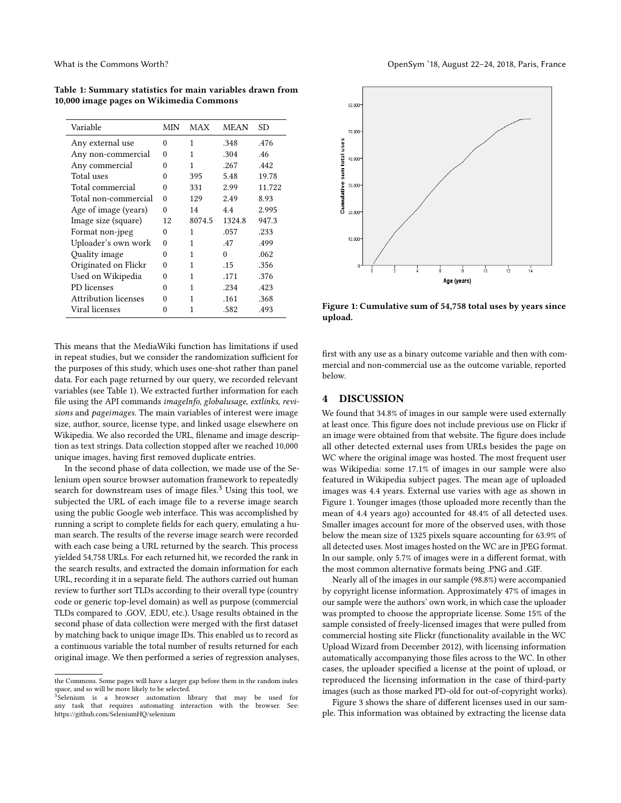Table 1: Summary statistics for main variables drawn from 10,000 image pages on Wikimedia Commons

| Variable                    | MIN      | MAX    | <b>MEAN</b> | SD     |
|-----------------------------|----------|--------|-------------|--------|
| Any external use            | 0        | 1      | .348        | .476   |
| Any non-commercial          | $\Omega$ | 1      | .304        | .46    |
| Any commercial              | 0        | 1      | .267        | .442   |
| Total uses                  | 0        | 395    | 5.48        | 19.78  |
| Total commercial            | $\Omega$ | 331    | 2.99        | 11.722 |
| Total non-commercial        | $\Omega$ | 129    | 2.49        | 8.93   |
| Age of image (years)        | $\Omega$ | 14     | 4.4         | 2.995  |
| Image size (square)         | 12       | 8074.5 | 1324.8      | 947.3  |
| Format non-jpeg             | $\Omega$ | 1      | .057        | .233   |
| Uploader's own work         | $\Omega$ | 1      | .47         | .499   |
| Quality image               | 0        | 1      | $\Omega$    | .062   |
| Originated on Flickr        | 0        | 1      | .15         | .356   |
| Used on Wikipedia           | 0        | 1      | .171        | .376   |
| PD licenses                 | 0        | 1      | .234        | .423   |
| <b>Attribution licenses</b> | 0        | 1      | .161        | .368   |
| Viral licenses              | 0        | 1      | .582        | .493   |

This means that the MediaWiki function has limitations if used in repeat studies, but we consider the randomization sufficient for the purposes of this study, which uses one-shot rather than panel data. For each page returned by our query, we recorded relevant variables (see Table 1). We extracted further information for each file using the API commands imageInfo, globalusage, extlinks, revisions and pageimages. The main variables of interest were image size, author, source, license type, and linked usage elsewhere on Wikipedia. We also recorded the URL, filename and image description as text strings. Data collection stopped after we reached 10,000 unique images, having first removed duplicate entries.

In the second phase of data collection, we made use of the Selenium open source browser automation framework to repeatedly search for downstream uses of image files. $3$  Using this tool, we subjected the URL of each image file to a reverse image search using the public Google web interface. This was accomplished by running a script to complete fields for each query, emulating a human search. The results of the reverse image search were recorded with each case being a URL returned by the search. This process yielded 54,758 URLs. For each returned hit, we recorded the rank in the search results, and extracted the domain information for each URL, recording it in a separate field. The authors carried out human review to further sort TLDs according to their overall type (country code or generic top-level domain) as well as purpose (commercial TLDs compared to .GOV, .EDU, etc.). Usage results obtained in the second phase of data collection were merged with the first dataset by matching back to unique image IDs. This enabled us to record as a continuous variable the total number of results returned for each original image. We then performed a series of regression analyses,



Figure 1: Cumulative sum of 54,758 total uses by years since upload.

first with any use as a binary outcome variable and then with commercial and non-commercial use as the outcome variable, reported below.

#### 4 DISCUSSION

We found that 34.8% of images in our sample were used externally at least once. This figure does not include previous use on Flickr if an image were obtained from that website. The figure does include all other detected external uses from URLs besides the page on WC where the original image was hosted. The most frequent user was Wikipedia: some 17.1% of images in our sample were also featured in Wikipedia subject pages. The mean age of uploaded images was 4.4 years. External use varies with age as shown in Figure 1. Younger images (those uploaded more recently than the mean of 4.4 years ago) accounted for 48.4% of all detected uses. Smaller images account for more of the observed uses, with those below the mean size of 1325 pixels square accounting for 63.9% of all detected uses. Most images hosted on the WC are in JPEG format. In our sample, only 5.7% of images were in a different format, with the most common alternative formats being .PNG and .GIF.

Nearly all of the images in our sample (98.8%) were accompanied by copyright license information. Approximately 47% of images in our sample were the authors' own work, in which case the uploader was prompted to choose the appropriate license. Some 15% of the sample consisted of freely-licensed images that were pulled from commercial hosting site Flickr (functionality available in the WC Upload Wizard from December 2012), with licensing information automatically accompanying those files across to the WC. In other cases, the uploader specified a license at the point of upload, or reproduced the licensing information in the case of third-party images (such as those marked PD-old for out-of-copyright works).

Figure 3 shows the share of different licenses used in our sample. This information was obtained by extracting the license data

the Commons. Some pages will have a larger gap before them in the random index space, and so will be more likely to be selected.

<span id="page-2-0"></span> $3\overline{\text{S}}$ elenium is a browser automation library that may be used for any task that requires automating interaction with the browser. See: https://github.com/SeleniumHQ/selenium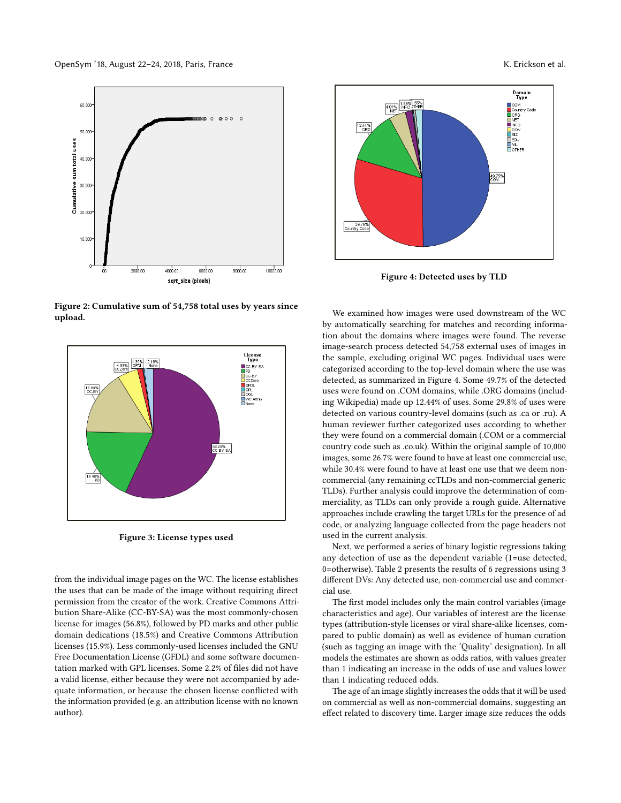

Figure 2: Cumulative sum of 54,758 total uses by years since upload.



Figure 3: License types used

from the individual image pages on the WC. The license establishes the uses that can be made of the image without requiring direct permission from the creator of the work. Creative Commons Attribution Share-Alike (CC-BY-SA) was the most commonly-chosen license for images (56.8%), followed by PD marks and other public domain dedications (18.5%) and Creative Commons Attribution licenses (15.9%). Less commonly-used licenses included the GNU Free Documentation License (GFDL) and some software documentation marked with GPL licenses. Some 2.2% of files did not have a valid license, either because they were not accompanied by adequate information, or because the chosen license conflicted with the information provided (e.g. an attribution license with no known author).



Figure 4: Detected uses by TLD

We examined how images were used downstream of the WC by automatically searching for matches and recording information about the domains where images were found. The reverse image-search process detected 54,758 external uses of images in the sample, excluding original WC pages. Individual uses were categorized according to the top-level domain where the use was detected, as summarized in Figure 4. Some 49.7% of the detected uses were found on .COM domains, while .ORG domains (including Wikipedia) made up 12.44% of uses. Some 29.8% of uses were detected on various country-level domains (such as .ca or .ru). A human reviewer further categorized uses according to whether they were found on a commercial domain (.COM or a commercial country code such as .co.uk). Within the original sample of 10,000 images, some 26.7% were found to have at least one commercial use, while 30.4% were found to have at least one use that we deem noncommercial (any remaining ccTLDs and non-commercial generic TLDs). Further analysis could improve the determination of commerciality, as TLDs can only provide a rough guide. Alternative approaches include crawling the target URLs for the presence of ad code, or analyzing language collected from the page headers not used in the current analysis.

Next, we performed a series of binary logistic regressions taking any detection of use as the dependent variable (1=use detected, 0=otherwise). Table 2 presents the results of 6 regressions using 3 different DVs: Any detected use, non-commercial use and commercial use.

The first model includes only the main control variables (image characteristics and age). Our variables of interest are the license types (attribution-style licenses or viral share-alike licenses, compared to public domain) as well as evidence of human curation (such as tagging an image with the 'Quality' designation). In all models the estimates are shown as odds ratios, with values greater than 1 indicating an increase in the odds of use and values lower than 1 indicating reduced odds.

The age of an image slightly increases the odds that it will be used on commercial as well as non-commercial domains, suggesting an effect related to discovery time. Larger image size reduces the odds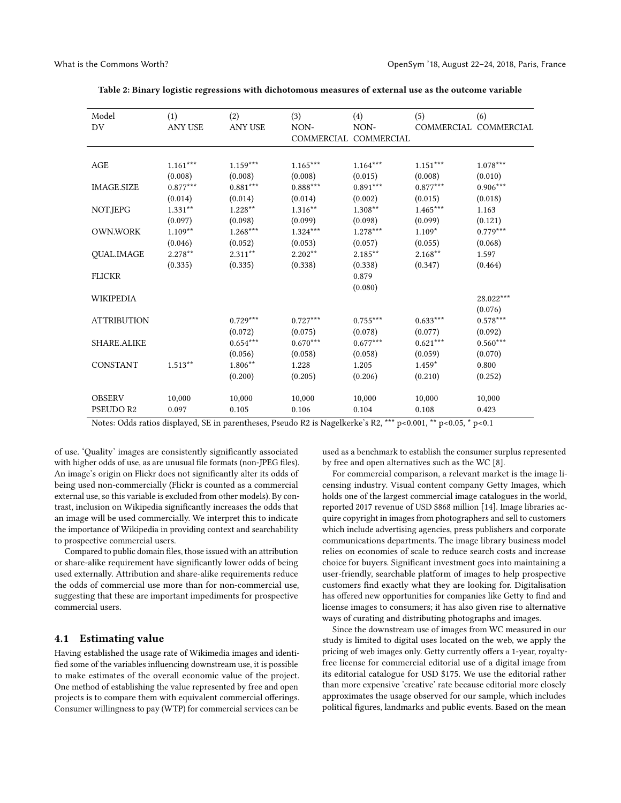| Model              | (1)            | (2)            | (3)        | (4)                   | (5)        | (6)                   |
|--------------------|----------------|----------------|------------|-----------------------|------------|-----------------------|
| DV                 | <b>ANY USE</b> | <b>ANY USE</b> | NON-       | NON-                  |            | COMMERCIAL COMMERCIAL |
|                    |                |                |            | COMMERCIAL COMMERCIAL |            |                       |
|                    |                |                |            |                       |            |                       |
| AGE                | $1.161***$     | $1.159***$     | $1.165***$ | $1.164***$            | $1.151***$ | $1.078***$            |
|                    | (0.008)        | (0.008)        | (0.008)    | (0.015)               | (0.008)    | (0.010)               |
| <b>IMAGE.SIZE</b>  | $0.877***$     | $0.881***$     | $0.888***$ | $0.891***$            | $0.877***$ | $0.906***$            |
|                    | (0.014)        | (0.014)        | (0.014)    | (0.002)               | (0.015)    | (0.018)               |
| NOT.JEPG           | $1.331**$      | $1.228**$      | 1.316**    | 1.308**               | $1.465***$ | 1.163                 |
|                    | (0.097)        | (0.098)        | (0.099)    | (0.098)               | (0.099)    | (0.121)               |
| <b>OWN.WORK</b>    | $1.109**$      | $1.268***$     | $1.324***$ | $1.278***$            | $1.109*$   | $0.779***$            |
|                    | (0.046)        | (0.052)        | (0.053)    | (0.057)               | (0.055)    | (0.068)               |
| <b>QUAL.IMAGE</b>  | $2.278**$      | $2.311***$     | $2.202**$  | $2.185***$            | $2.168**$  | 1.597                 |
|                    | (0.335)        | (0.335)        | (0.338)    | (0.338)               | (0.347)    | (0.464)               |
| <b>FLICKR</b>      |                |                |            | 0.879                 |            |                       |
|                    |                |                |            | (0.080)               |            |                       |
| <b>WIKIPEDIA</b>   |                |                |            |                       |            | 28.022***             |
|                    |                |                |            |                       |            | (0.076)               |
| <b>ATTRIBUTION</b> |                | $0.729***$     | $0.727***$ | $0.755***$            | $0.633***$ | $0.578***$            |
|                    |                | (0.072)        | (0.075)    | (0.078)               | (0.077)    | (0.092)               |
| <b>SHARE ALIKE</b> |                | $0.654***$     | $0.670***$ | $0.677***$            | $0.621***$ | $0.560^{***}$         |
|                    |                | (0.056)        | (0.058)    | (0.058)               | (0.059)    | (0.070)               |
| <b>CONSTANT</b>    | $1.513**$      | 1.806**        | 1.228      | 1.205                 | $1.459*$   | 0.800                 |
|                    |                | (0.200)        | (0.205)    | (0.206)               | (0.210)    | (0.252)               |
|                    |                |                |            |                       |            |                       |
| <b>OBSERV</b>      | 10,000         | 10,000         | 10,000     | 10,000                | 10,000     | 10,000                |
| <b>PSEUDO R2</b>   | 0.097          | 0.105          | 0.106      | 0.104                 | 0.108      | 0.423                 |
|                    |                |                |            |                       |            |                       |

Table 2: Binary logistic regressions with dichotomous measures of external use as the outcome variable

Notes: Odds ratios displayed, SE in parentheses, Pseudo R2 is Nagelkerke's R2, \*\*\* p<0.001, \*\* p<0.05, \* p<0.1

of use. 'Quality' images are consistently significantly associated with higher odds of use, as are unusual file formats (non-JPEG files). An image's origin on Flickr does not significantly alter its odds of being used non-commercially (Flickr is counted as a commercial external use, so this variable is excluded from other models). By contrast, inclusion on Wikipedia significantly increases the odds that an image will be used commercially. We interpret this to indicate the importance of Wikipedia in providing context and searchability to prospective commercial users.

Compared to public domain files, those issued with an attribution or share-alike requirement have significantly lower odds of being used externally. Attribution and share-alike requirements reduce the odds of commercial use more than for non-commercial use, suggesting that these are important impediments for prospective commercial users.

## 4.1 Estimating value

Having established the usage rate of Wikimedia images and identified some of the variables influencing downstream use, it is possible to make estimates of the overall economic value of the project. One method of establishing the value represented by free and open projects is to compare them with equivalent commercial offerings. Consumer willingness to pay (WTP) for commercial services can be

used as a benchmark to establish the consumer surplus represented by free and open alternatives such as the WC [\[8\]](#page-5-15).

For commercial comparison, a relevant market is the image licensing industry. Visual content company Getty Images, which holds one of the largest commercial image catalogues in the world, reported 2017 revenue of USD \$868 million [\[14\]](#page-5-16). Image libraries acquire copyright in images from photographers and sell to customers which include advertising agencies, press publishers and corporate communications departments. The image library business model relies on economies of scale to reduce search costs and increase choice for buyers. Significant investment goes into maintaining a user-friendly, searchable platform of images to help prospective customers find exactly what they are looking for. Digitalisation has offered new opportunities for companies like Getty to find and license images to consumers; it has also given rise to alternative ways of curating and distributing photographs and images.

Since the downstream use of images from WC measured in our study is limited to digital uses located on the web, we apply the pricing of web images only. Getty currently offers a 1-year, royaltyfree license for commercial editorial use of a digital image from its editorial catalogue for USD \$175. We use the editorial rather than more expensive 'creative' rate because editorial more closely approximates the usage observed for our sample, which includes political figures, landmarks and public events. Based on the mean